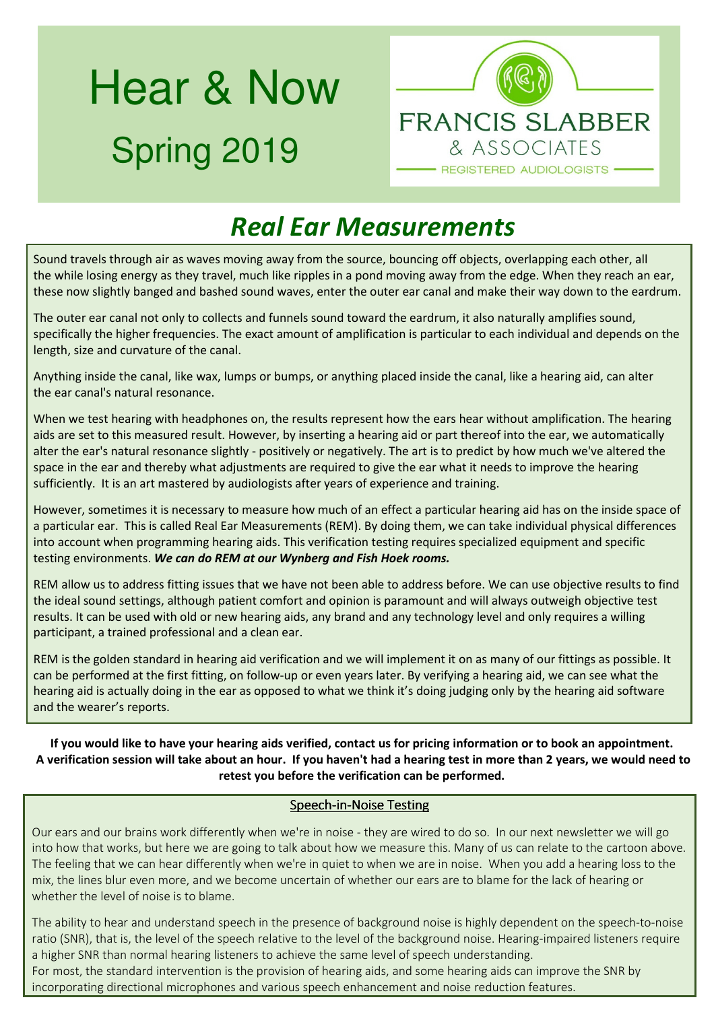# Hear & Now Spring 2019



## *Real Ear Measurements*

Sound travels through air as waves moving away from the source, bouncing off objects, overlapping each other, all the while losing energy as they travel, much like ripples in a pond moving away from the edge. When they reach an ear, these now slightly banged and bashed sound waves, enter the outer ear canal and make their way down to the eardrum.

The outer ear canal not only to collects and funnels sound toward the eardrum, it also naturally amplifies sound, specifically the higher frequencies. The exact amount of amplification is particular to each individual and depends on the length, size and curvature of the canal.

Anything inside the canal, like wax, lumps or bumps, or anything placed inside the canal, like a hearing aid, can alter the ear canal's natural resonance.

When we test hearing with headphones on, the results represent how the ears hear without amplification. The hearing aids are set to this measured result. However, by inserting a hearing aid or part thereof into the ear, we automatically alter the ear's natural resonance slightly - positively or negatively. The art is to predict by how much we've altered the space in the ear and thereby what adjustments are required to give the ear what it needs to improve the hearing sufficiently. It is an art mastered by audiologists after years of experience and training.

However, sometimes it is necessary to measure how much of an effect a particular hearing aid has on the inside space of a particular ear. This is called Real Ear Measurements (REM). By doing them, we can take individual physical differences into account when programming hearing aids. This verification testing requires specialized equipment and specific testing environments. *We can do REM at our Wynberg and Fish Hoek rooms.* 

REM allow us to address fitting issues that we have not been able to address before. We can use objective results to find the ideal sound settings, although patient comfort and opinion is paramount and will always outweigh objective test results. It can be used with old or new hearing aids, any brand and any technology level and only requires a willing participant, a trained professional and a clean ear.

REM is the golden standard in hearing aid verification and we will implement it on as many of our fittings as possible. It can be performed at the first fitting, on follow-up or even years later. By verifying a hearing aid, we can see what the hearing aid is actually doing in the ear as opposed to what we think it's doing judging only by the hearing aid software and the wearer's reports.

**If you would like to have your hearing aids verified, contact us for pricing information or to book an appointment. A verification session will take about an hour. If you haven't had a hearing test in more than 2 years, we would need to retest you before the verification can be performed.** 

#### Speech-in-Noise Testing

Our ears and our brains work differently when we're in noise - they are wired to do so. In our next newsletter we will go into how that works, but here we are going to talk about how we measure this. Many of us can relate to the cartoon above. The feeling that we can hear differently when we're in quiet to when we are in noise. When you add a hearing loss to the mix, the lines blur even more, and we become uncertain of whether our ears are to blame for the lack of hearing or whether the level of noise is to blame.

The ability to hear and understand speech in the presence of background noise is highly dependent on the speech-to-noise ratio (SNR), that is, the level of the speech relative to the level of the background noise. Hearing-impaired listeners require a higher SNR than normal hearing listeners to achieve the same level of speech understanding.

For most, the standard intervention is the provision of hearing aids, and some hearing aids can improve the SNR by incorporating directional microphones and various speech enhancement and noise reduction features.